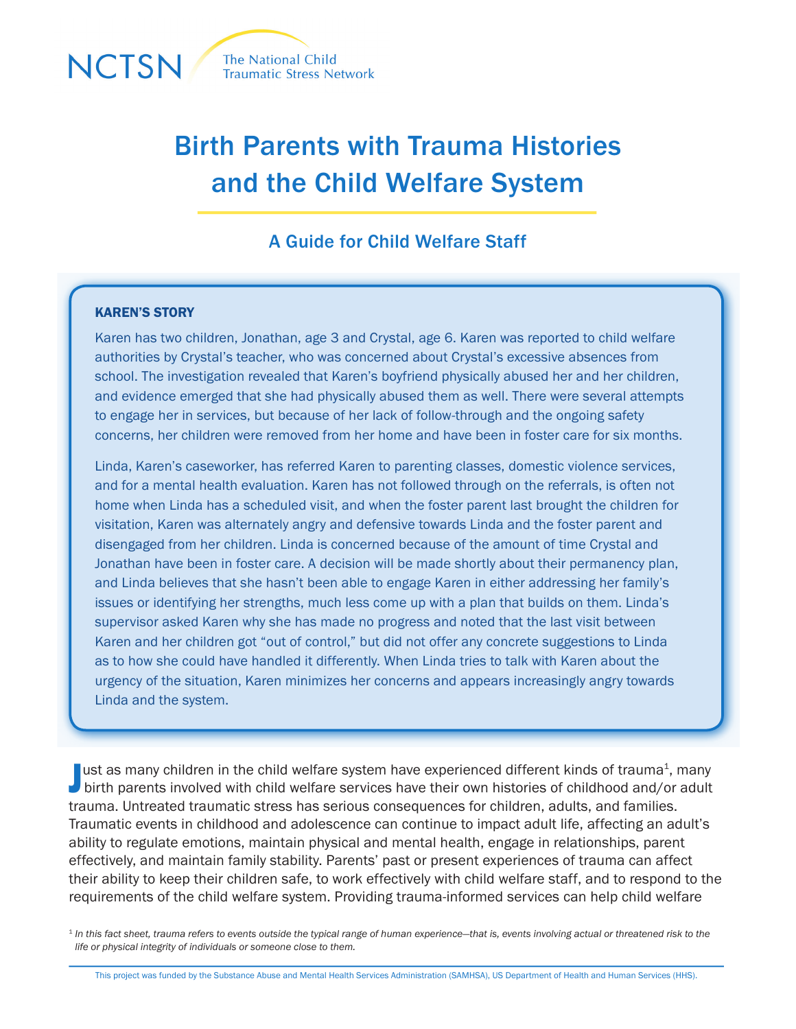

# Birth Parents with Trauma Histories and the Child Welfare System

## A Guide for Child Welfare Staff

### KAREN'S STORY

Karen has two children, Jonathan, age 3 and Crystal, age 6. Karen was reported to child welfare authorities by Crystal's teacher, who was concerned about Crystal's excessive absences from school. The investigation revealed that Karen's boyfriend physically abused her and her children, and evidence emerged that she had physically abused them as well. There were several attempts to engage her in services, but because of her lack of follow-through and the ongoing safety concerns, her children were removed from her home and have been in foster care for six months.

Linda, Karen's caseworker, has referred Karen to parenting classes, domestic violence services, and for a mental health evaluation. Karen has not followed through on the referrals, is often not home when Linda has a scheduled visit, and when the foster parent last brought the children for visitation, Karen was alternately angry and defensive towards Linda and the foster parent and disengaged from her children. Linda is concerned because of the amount of time Crystal and Jonathan have been in foster care. A decision will be made shortly about their permanency plan, and Linda believes that she hasn't been able to engage Karen in either addressing her family's issues or identifying her strengths, much less come up with a plan that builds on them. Linda's supervisor asked Karen why she has made no progress and noted that the last visit between Karen and her children got "out of control," but did not offer any concrete suggestions to Linda as to how she could have handled it differently. When Linda tries to talk with Karen about the urgency of the situation, Karen minimizes her concerns and appears increasingly angry towards Linda and the system.

Just as many children in the child welfare system have experienced different kinds of trauma<sup>1</sup>, many<br>birth parents involved with child welfare services have their own histories of childhood and/or adult ust as many children in the child welfare system have experienced different kinds of trauma<sup>1</sup>, many trauma. Untreated traumatic stress has serious consequences for children, adults, and families. Traumatic events in childhood and adolescence can continue to impact adult life, affecting an adult's ability to regulate emotions, maintain physical and mental health, engage in relationships, parent effectively, and maintain family stability. Parents' past or present experiences of trauma can affect their ability to keep their children safe, to work effectively with child welfare staff, and to respond to the requirements of the child welfare system. Providing trauma-informed services can help child welfare

<sup>1</sup> In this fact sheet, trauma refers to events outside the typical range of human experience—that is, events involving actual or threatened risk to the *life or physical integrity of individuals or someone close to them.* 

This project was funded by the Substance Abuse and Mental Health Services Administration (SAMHSA), US Department of Health and Human Services (HHS).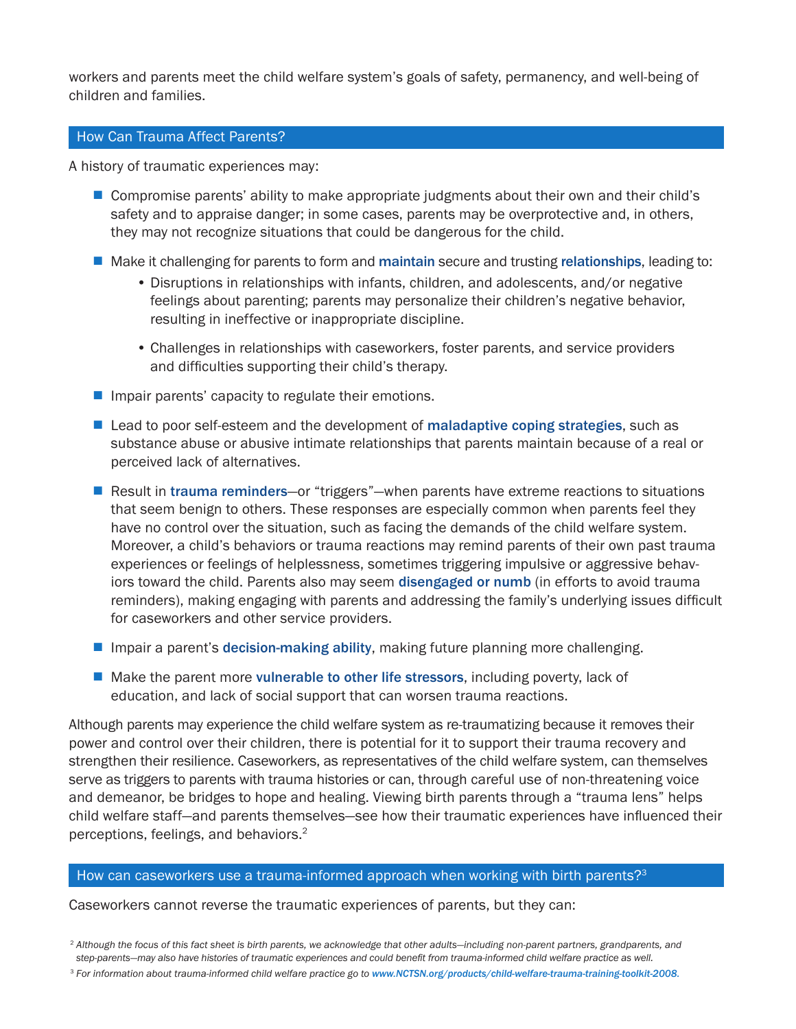workers and parents meet the child welfare system's goals of safety, permanency, and well-being of children and families.

#### How Can Trauma Affect Parents?

A history of traumatic experiences may:

- Compromise parents' ability to make appropriate judgments about their own and their child's safety and to appraise danger; in some cases, parents may be overprotective and, in others, they may not recognize situations that could be dangerous for the child.
- Make it challenging for parents to form and maintain secure and trusting relationships, leading to:
	- Disruptions in relationships with infants, children, and adolescents, and/or negative feelings about parenting; parents may personalize their children's negative behavior, resulting in ineffective or inappropriate discipline.
	- Challenges in relationships with caseworkers, foster parents, and service providers and difficulties supporting their child's therapy.
- $\blacksquare$  Impair parents' capacity to regulate their emotions.
- $\blacksquare$  Lead to poor self-esteem and the development of maladaptive coping strategies, such as substance abuse or abusive intimate relationships that parents maintain because of a real or perceived lack of alternatives.
- Result in trauma reminders—or "triggers"—when parents have extreme reactions to situations that seem benign to others. These responses are especially common when parents feel they have no control over the situation, such as facing the demands of the child welfare system. Moreover, a child's behaviors or trauma reactions may remind parents of their own past trauma experiences or feelings of helplessness, sometimes triggering impulsive or aggressive behaviors toward the child. Parents also may seem disengaged or numb (in efforts to avoid trauma reminders), making engaging with parents and addressing the family's underlying issues difficult for caseworkers and other service providers.
- **If Impair a parent's decision-making ability, making future planning more challenging.**
- $\blacksquare$  Make the parent more vulnerable to other life stressors, including poverty, lack of education, and lack of social support that can worsen trauma reactions.

Although parents may experience the child welfare system as re-traumatizing because it removes their power and control over their children, there is potential for it to support their trauma recovery and strengthen their resilience. Caseworkers, as representatives of the child welfare system, can themselves serve as triggers to parents with trauma histories or can, through careful use of non-threatening voice and demeanor, be bridges to hope and healing. Viewing birth parents through a "trauma lens" helps child welfare staff—and parents themselves—see how their traumatic experiences have influenced their perceptions, feelings, and behaviors.2

#### How can caseworkers use a trauma-informed approach when working with birth parents?<sup>3</sup>

Caseworkers cannot reverse the traumatic experiences of parents, but they can:

<sup>3</sup> For information about trauma-informed child welfare practice go to [www.NCTSN.org/products/child-welfare-trauma-training-toolkit-2008](http://www.nctsn.org/products/child-welfare-trauma-training-toolkit-2008).

<sup>2</sup> *Although the focus of this fact sheet is birth parents, we acknowledge that other adults—including non-parent partners, grandparents, and step-parents—may also have histories of traumatic experiences and could benefit from trauma-informed child welfare practice as well.*